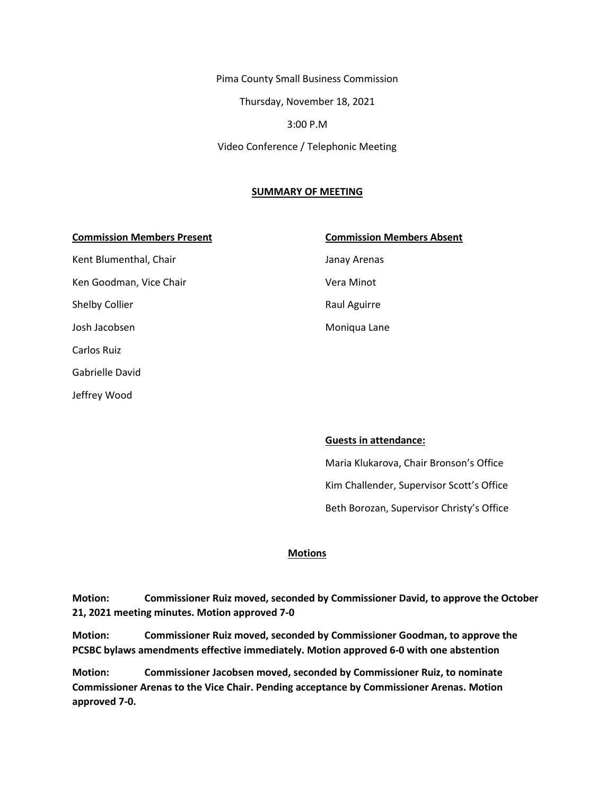Pima County Small Business Commission Thursday, November 18, 2021 3:00 P.M Video Conference / Telephonic Meeting

#### **SUMMARY OF MEETING**

#### **Commission Members Present Commission Members Absent**

Kent Blumenthal, Chair **Janay Arenas** Ken Goodman, Vice Chair Vera Minot Shelby Collier **Raul Aguirre** Raul Aguirre Josh Jacobsen Moniqua Lane Carlos Ruiz Gabrielle David Jeffrey Wood

#### **Guests in attendance:**

Maria Klukarova, Chair Bronson's Office Kim Challender, Supervisor Scott's Office Beth Borozan, Supervisor Christy's Office

#### **Motions**

**Motion: Commissioner Ruiz moved, seconded by Commissioner David, to approve the October 21, 2021 meeting minutes. Motion approved 7-0**

**Motion: Commissioner Ruiz moved, seconded by Commissioner Goodman, to approve the PCSBC bylaws amendments effective immediately. Motion approved 6-0 with one abstention**

**Motion: Commissioner Jacobsen moved, seconded by Commissioner Ruiz, to nominate Commissioner Arenas to the Vice Chair. Pending acceptance by Commissioner Arenas. Motion approved 7-0.**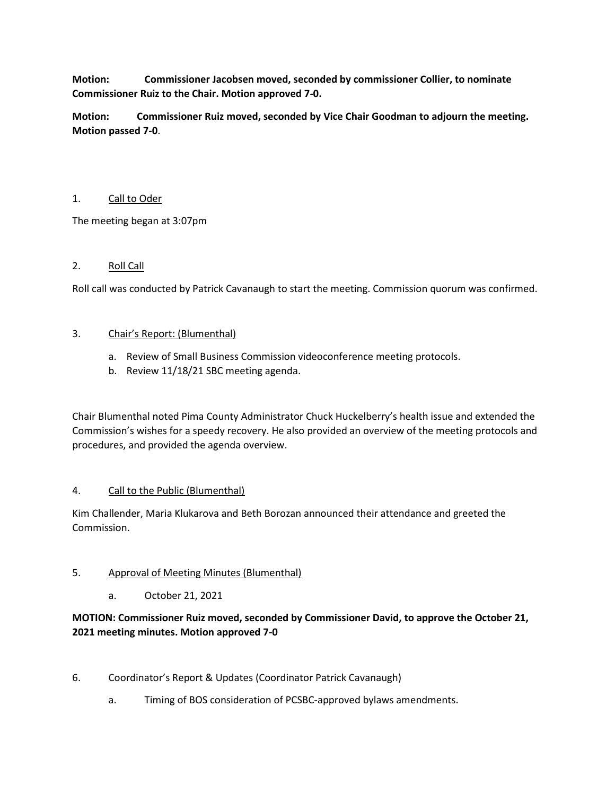**Motion: Commissioner Jacobsen moved, seconded by commissioner Collier, to nominate Commissioner Ruiz to the Chair. Motion approved 7-0.**

**Motion: Commissioner Ruiz moved, seconded by Vice Chair Goodman to adjourn the meeting. Motion passed 7-0**.

## 1. Call to Oder

The meeting began at 3:07pm

## 2. Roll Call

Roll call was conducted by Patrick Cavanaugh to start the meeting. Commission quorum was confirmed.

## 3. Chair's Report: (Blumenthal)

- a. Review of Small Business Commission videoconference meeting protocols.
- b. Review 11/18/21 SBC meeting agenda.

Chair Blumenthal noted Pima County Administrator Chuck Huckelberry's health issue and extended the Commission's wishes for a speedy recovery. He also provided an overview of the meeting protocols and procedures, and provided the agenda overview.

## 4. Call to the Public (Blumenthal)

Kim Challender, Maria Klukarova and Beth Borozan announced their attendance and greeted the Commission.

## 5. Approval of Meeting Minutes (Blumenthal)

a. October 21, 2021

# **MOTION: Commissioner Ruiz moved, seconded by Commissioner David, to approve the October 21, 2021 meeting minutes. Motion approved 7-0**

- 6. Coordinator's Report & Updates (Coordinator Patrick Cavanaugh)
	- a. Timing of BOS consideration of PCSBC-approved bylaws amendments.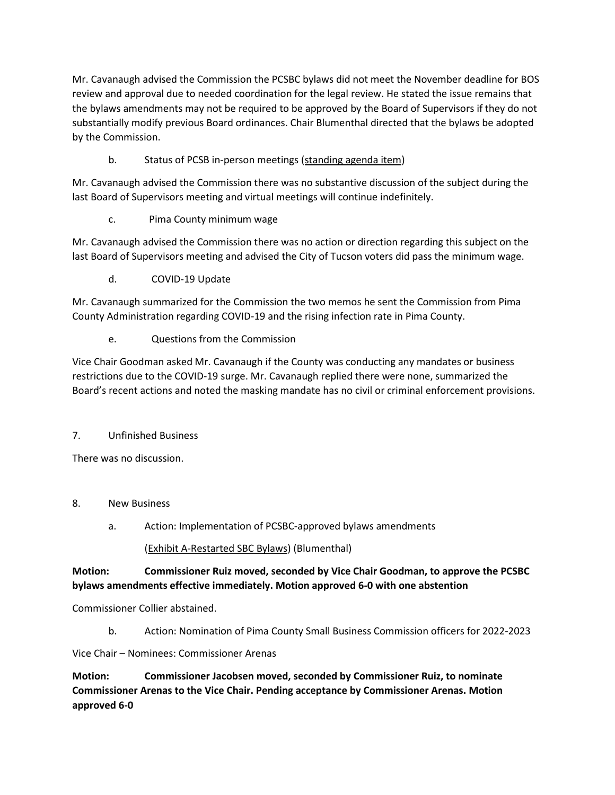Mr. Cavanaugh advised the Commission the PCSBC bylaws did not meet the November deadline for BOS review and approval due to needed coordination for the legal review. He stated the issue remains that the bylaws amendments may not be required to be approved by the Board of Supervisors if they do not substantially modify previous Board ordinances. Chair Blumenthal directed that the bylaws be adopted by the Commission.

b. Status of PCSB in-person meetings (standing agenda item)

Mr. Cavanaugh advised the Commission there was no substantive discussion of the subject during the last Board of Supervisors meeting and virtual meetings will continue indefinitely.

c. Pima County minimum wage

Mr. Cavanaugh advised the Commission there was no action or direction regarding this subject on the last Board of Supervisors meeting and advised the City of Tucson voters did pass the minimum wage.

d. COVID-19 Update

Mr. Cavanaugh summarized for the Commission the two memos he sent the Commission from Pima County Administration regarding COVID-19 and the rising infection rate in Pima County.

e. Questions from the Commission

Vice Chair Goodman asked Mr. Cavanaugh if the County was conducting any mandates or business restrictions due to the COVID-19 surge. Mr. Cavanaugh replied there were none, summarized the Board's recent actions and noted the masking mandate has no civil or criminal enforcement provisions.

# 7. Unfinished Business

There was no discussion.

- 8. New Business
	- a. Action: Implementation of PCSBC-approved bylaws amendments

## (Exhibit A-Restarted SBC Bylaws) (Blumenthal)

# **Motion: Commissioner Ruiz moved, seconded by Vice Chair Goodman, to approve the PCSBC bylaws amendments effective immediately. Motion approved 6-0 with one abstention**

Commissioner Collier abstained.

b. Action: Nomination of Pima County Small Business Commission officers for 2022-2023

Vice Chair – Nominees: Commissioner Arenas

**Motion: Commissioner Jacobsen moved, seconded by Commissioner Ruiz, to nominate Commissioner Arenas to the Vice Chair. Pending acceptance by Commissioner Arenas. Motion approved 6-0**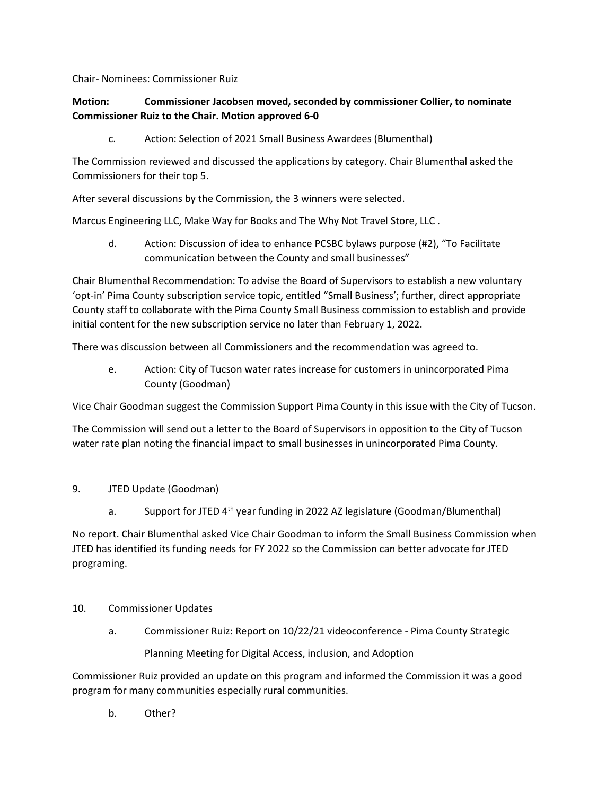Chair- Nominees: Commissioner Ruiz

# **Motion: Commissioner Jacobsen moved, seconded by commissioner Collier, to nominate Commissioner Ruiz to the Chair. Motion approved 6-0**

c. Action: Selection of 2021 Small Business Awardees (Blumenthal)

The Commission reviewed and discussed the applications by category. Chair Blumenthal asked the Commissioners for their top 5.

After several discussions by the Commission, the 3 winners were selected.

Marcus Engineering LLC, Make Way for Books and The Why Not Travel Store, LLC .

d. Action: Discussion of idea to enhance PCSBC bylaws purpose (#2), "To Facilitate communication between the County and small businesses"

Chair Blumenthal Recommendation: To advise the Board of Supervisors to establish a new voluntary 'opt-in' Pima County subscription service topic, entitled "Small Business'; further, direct appropriate County staff to collaborate with the Pima County Small Business commission to establish and provide initial content for the new subscription service no later than February 1, 2022.

There was discussion between all Commissioners and the recommendation was agreed to.

e. Action: City of Tucson water rates increase for customers in unincorporated Pima County (Goodman)

Vice Chair Goodman suggest the Commission Support Pima County in this issue with the City of Tucson.

The Commission will send out a letter to the Board of Supervisors in opposition to the City of Tucson water rate plan noting the financial impact to small businesses in unincorporated Pima County.

## 9. JTED Update (Goodman)

a. Support for JTED 4<sup>th</sup> year funding in 2022 AZ legislature (Goodman/Blumenthal)

No report. Chair Blumenthal asked Vice Chair Goodman to inform the Small Business Commission when JTED has identified its funding needs for FY 2022 so the Commission can better advocate for JTED programing.

- 10. Commissioner Updates
	- a. Commissioner Ruiz: Report on 10/22/21 videoconference Pima County Strategic Planning Meeting for Digital Access, inclusion, and Adoption

Commissioner Ruiz provided an update on this program and informed the Commission it was a good program for many communities especially rural communities.

b. Other?